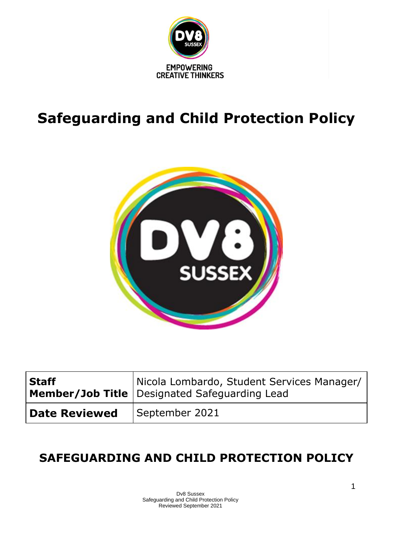

# **Safeguarding and Child Protection Policy**



| <b>Staff</b>         | Nicola Lombardo, Student Services Manager/<br>Member/Job Title Designated Safeguarding Lead |
|----------------------|---------------------------------------------------------------------------------------------|
| <b>Date Reviewed</b> | September 2021                                                                              |

## **SAFEGUARDING AND CHILD PROTECTION POLICY**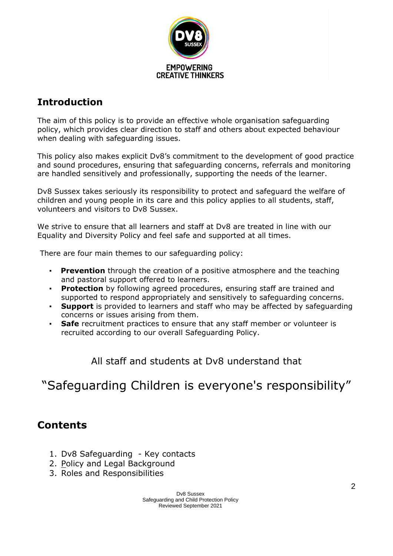

## **Introduction**

The aim of this policy is to provide an effective whole organisation safeguarding policy, which provides clear direction to staff and others about expected behaviour when dealing with safeguarding issues.

This policy also makes explicit Dv8's commitment to the development of good practice and sound procedures, ensuring that safeguarding concerns, referrals and monitoring are handled sensitively and professionally, supporting the needs of the learner.

Dv8 Sussex takes seriously its responsibility to protect and safeguard the welfare of children and young people in its care and this policy applies to all students, staff, volunteers and visitors to Dv8 Sussex.

We strive to ensure that all learners and staff at Dv8 are treated in line with our Equality and Diversity Policy and feel safe and supported at all times.

There are four main themes to our safeguarding policy:

- **Prevention** through the creation of a positive atmosphere and the teaching and pastoral support offered to learners.
- **Protection** by following agreed procedures, ensuring staff are trained and supported to respond appropriately and sensitively to safeguarding concerns.
- **Support** is provided to learners and staff who may be affected by safeguarding concerns or issues arising from them.
- **Safe** recruitment practices to ensure that any staff member or volunteer is recruited according to our overall Safeguarding Policy.

All staff and students at Dv8 understand that

## "Safeguarding Children is everyone's responsibility"

## **Contents**

- 1. Dv8 Safeguarding Key contacts
- 2. [Po](https://docs.google.com/document/d/105xqpBPpT-WmfWW-MZjwm4p3wxIXCNVT3QZhVWCc0wQ/edit#heading=h.1fob9te)licy and Legal Background
- 3. Roles and Responsibilities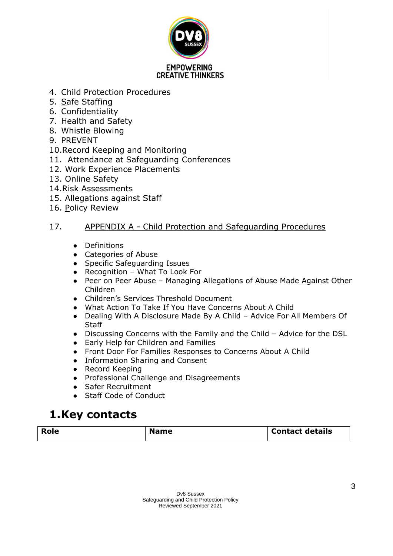

- 4. Child Protection Procedures
- 5. [Sa](https://docs.google.com/document/d/105xqpBPpT-WmfWW-MZjwm4p3wxIXCNVT3QZhVWCc0wQ/edit#heading=h.1t3h5sf)fe Staffing
- 6. Confidentiality
- 7. Health and Safety
- 8. Whistle Blowing
- 9. PREVENT
- 10.Record Keeping and Monitoring
- 11. Attendance at Safeguarding Conferences
- 12. [Work Experience Placements](https://docs.google.com/document/d/105xqpBPpT-WmfWW-MZjwm4p3wxIXCNVT3QZhVWCc0wQ/edit#heading=h.3rdcrjn)
- 13. [Online Safety](https://docs.google.com/document/d/105xqpBPpT-WmfWW-MZjwm4p3wxIXCNVT3QZhVWCc0wQ/edit#heading=h.3as4poj)
- 14[.Risk Assessments](https://docs.google.com/document/d/105xqpBPpT-WmfWW-MZjwm4p3wxIXCNVT3QZhVWCc0wQ/edit#heading=h.1pxezwc)
- 15. [Allegations against Staff](https://docs.google.com/document/d/105xqpBPpT-WmfWW-MZjwm4p3wxIXCNVT3QZhVWCc0wQ/edit#heading=h.49x2ik5)
- 16. [Po](https://docs.google.com/document/d/105xqpBPpT-WmfWW-MZjwm4p3wxIXCNVT3QZhVWCc0wQ/edit#heading=h.2p2csry)licy Review

## 17. APPENDIX A - [Child Protection and Safeguarding Procedures](https://docs.google.com/document/d/105xqpBPpT-WmfWW-MZjwm4p3wxIXCNVT3QZhVWCc0wQ/edit#heading=h.147n2zr)

- Definitions
- Categories of Abuse
- Specific Safeguarding Issues
- Recognition What To Look For
- Peer on Peer Abuse Managing Allegations of Abuse Made Against Other Children
- Children's Services Threshold Document
- What Action To Take If You Have Concerns About A Child
- Dealing With A Disclosure Made By A Child Advice For All Members Of **Staff**
- Discussing Concerns with the Family and the Child Advice for the DSL
- Early Help for Children and Families
- Front Door For Families Responses to Concerns About A Child
- Information Sharing and Consent
- Record Keeping
- Professional Challenge and Disagreements
- Safer Recruitment
- Staff Code of Conduct

## **1.Key contacts**

| <b>Role</b> | <b>Name</b> | <b>Contact details</b> |
|-------------|-------------|------------------------|
|             |             |                        |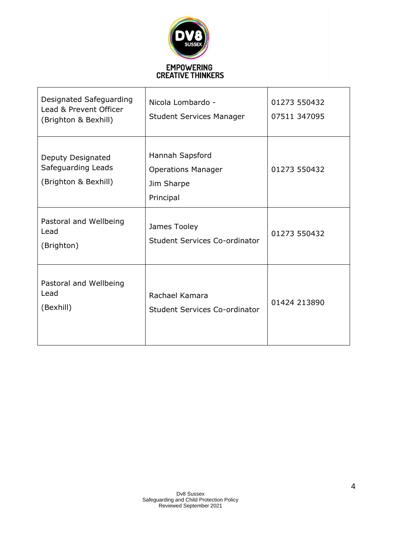

| Designated Safeguarding<br>Lead & Prevent Officer<br>(Brighton & Bexhill) | Nicola Lombardo -<br><b>Student Services Manager</b>                    | 01273 550432<br>07511 347095 |
|---------------------------------------------------------------------------|-------------------------------------------------------------------------|------------------------------|
| Deputy Designated<br>Safeguarding Leads<br>(Brighton & Bexhill)           | Hannah Sapsford<br><b>Operations Manager</b><br>Jim Sharpe<br>Principal | 01273 550432                 |
| Pastoral and Wellbeing<br>Lead<br>(Brighton)                              | James Tooley<br>Student Services Co-ordinator                           | 01273 550432                 |
| Pastoral and Wellbeing<br>Lead<br>(Bexhill)                               | Rachael Kamara<br>Student Services Co-ordinator                         | 01424 213890                 |

٦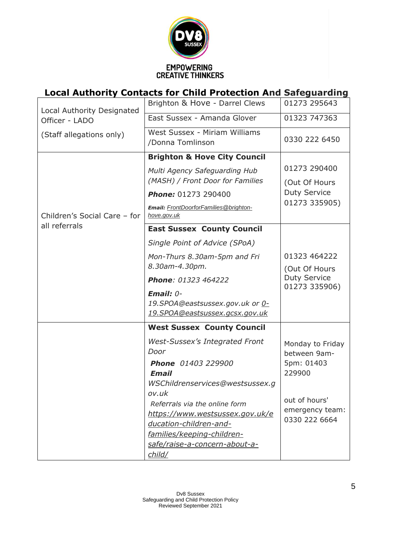

## **Local Authority Contacts for Child Protection And Safeguarding**

| Local Authority Designated   | Brighton & Hove - Darrel Clews                                                                                                                                                      | 01273 295643                                             |
|------------------------------|-------------------------------------------------------------------------------------------------------------------------------------------------------------------------------------|----------------------------------------------------------|
| Officer - LADO               | East Sussex - Amanda Glover                                                                                                                                                         | 01323 747363                                             |
| (Staff allegations only)     | West Sussex - Miriam Williams<br>/Donna Tomlinson                                                                                                                                   | 0330 222 6450                                            |
|                              | <b>Brighton &amp; Hove City Council</b>                                                                                                                                             |                                                          |
|                              | Multi Agency Safeguarding Hub<br>(MASH) / Front Door for Families                                                                                                                   | 01273 290400<br>(Out Of Hours                            |
|                              | <b>Phone: 01273 290400</b>                                                                                                                                                          | <b>Duty Service</b><br>01273 335905)                     |
| Children's Social Care - for | <b>Email: FrontDoorforFamilies@brighton-</b><br>hove.gov.uk                                                                                                                         |                                                          |
| all referrals                | <b>East Sussex County Council</b>                                                                                                                                                   |                                                          |
|                              | Single Point of Advice (SPoA)                                                                                                                                                       |                                                          |
|                              | Mon-Thurs 8.30am-5pm and Fri                                                                                                                                                        | 01323 464222                                             |
|                              | 8.30am-4.30pm.                                                                                                                                                                      | (Out Of Hours<br><b>Duty Service</b><br>01273 335906)    |
|                              | Phone: 01323 464222                                                                                                                                                                 |                                                          |
|                              | Email: $0-$<br>19.SPOA@eastsussex.gov.uk or 0-<br><u>19.SPOA@eastsussex.gcsx.gov.uk</u>                                                                                             |                                                          |
|                              | <b>West Sussex County Council</b>                                                                                                                                                   |                                                          |
|                              | <b>West-Sussex's Integrated Front</b><br>Door<br><b>Phone</b> 01403 229900<br><b>Email</b><br>WSChildrenservices@westsussex.q                                                       | Monday to Friday<br>between 9am-<br>5pm: 01403<br>229900 |
|                              | ov.uk<br>Referrals via the online form<br>https://www.westsussex.gov.uk/e<br>ducation-children-and-<br>families/keeping-children-<br>safe/raise-a-concern-about-a-<br><u>child/</u> | out of hours'<br>emergency team:<br>0330 222 6664        |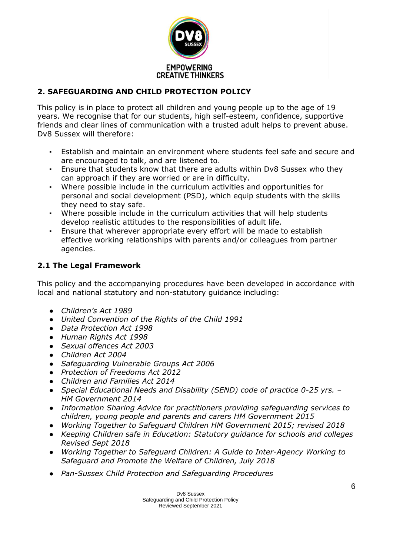

## **2. SAFEGUARDING AND CHILD PROTECTION POLICY**

This policy is in place to protect all children and young people up to the age of 19 years. We recognise that for our students, high self-esteem, confidence, supportive friends and clear lines of communication with a trusted adult helps to prevent abuse. Dv8 Sussex will therefore:

- Establish and maintain an environment where students feel safe and secure and are encouraged to talk, and are listened to.
- Ensure that students know that there are adults within Dv8 Sussex who they can approach if they are worried or are in difficulty.
- Where possible include in the curriculum activities and opportunities for personal and social development (PSD), which equip students with the skills they need to stay safe.
- Where possible include in the curriculum activities that will help students develop realistic attitudes to the responsibilities of adult life.
- Ensure that wherever appropriate every effort will be made to establish effective working relationships with parents and/or colleagues from partner agencies.

## **2.1 The Legal Framework**

This policy and the accompanying procedures have been developed in accordance with local and national statutory and non-statutory guidance including:

- *Children's Act 1989*
- *United Convention of the Rights of the Child 1991*
- *Data Protection Act 1998*
- *Human Rights Act 1998*
- *Sexual offences Act 2003*
- *Children Act 2004*
- *Safeguarding Vulnerable Groups Act 2006*
- *Protection of Freedoms Act 2012*
- *Children and Families Act 2014*
- *Special Educational Needs and Disability (SEND) code of practice 0-25 yrs. – HM Government 2014*
- *Information Sharing Advice for practitioners providing safeguarding services to children, young people and parents and carers HM Government 2015*
- *Working Together to Safeguard Children HM Government 2015; revised 2018*
- *Keeping Children safe in Education: Statutory guidance for schools and colleges Revised Sept 2018*
- *Working Together to Safeguard Children: A Guide to Inter-Agency Working to Safeguard and Promote the Welfare of Children, July 2018*
- *Pan-Sussex Child Protection and Safeguarding Procedures*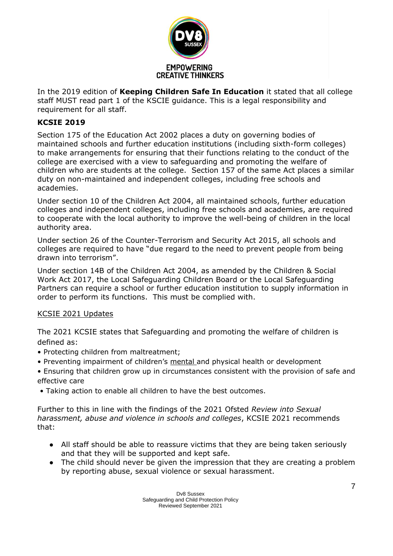

In the 2019 edition of **Keeping Children Safe In Education** it stated that all college staff MUST read part 1 of the KSCIE guidance. This is a legal responsibility and requirement for all staff.

## **KCSIE 2019**

Section 175 of the Education Act 2002 places a duty on governing bodies of maintained schools and further education institutions (including sixth-form colleges) to make arrangements for ensuring that their functions relating to the conduct of the college are exercised with a view to safeguarding and promoting the welfare of children who are students at the college. Section 157 of the same Act places a similar duty on non-maintained and independent colleges, including free schools and academies.

Under section 10 of the Children Act 2004, all maintained schools, further education colleges and independent colleges, including free schools and academies, are required to cooperate with the local authority to improve the well-being of children in the local authority area.

Under section 26 of the Counter-Terrorism and Security Act 2015, all schools and colleges are required to have "due regard to the need to prevent people from being drawn into terrorism".

Under section 14B of the Children Act 2004, as amended by the Children & Social Work Act 2017, the Local Safeguarding Children Board or the Local Safeguarding Partners can require a school or further education institution to supply information in order to perform its functions. This must be complied with.

## [KCSIE 2021 Updates](https://assets.publishing.service.gov.uk/government/uploads/system/uploads/attachment_data/file/1021914/KCSIE_2021_September_guidance.pdf)

The 2021 KCSIE states that Safeguarding and promoting the welfare of children is defined as:

- Protecting children from maltreatment;
- Preventing impairment of children's mental and physical health or development
- Ensuring that children grow up in circumstances consistent with the provision of safe and effective care
- Taking action to enable all children to have the best outcomes.

Further to this in line with the findings of the 2021 Ofsted *Review into Sexual harassment, abuse and violence in schools and colleges*, KCSIE 2021 recommends that:

- All staff should be able to reassure victims that they are being taken seriously and that they will be supported and kept safe.
- The child should never be given the impression that they are creating a problem by reporting abuse, sexual violence or sexual harassment.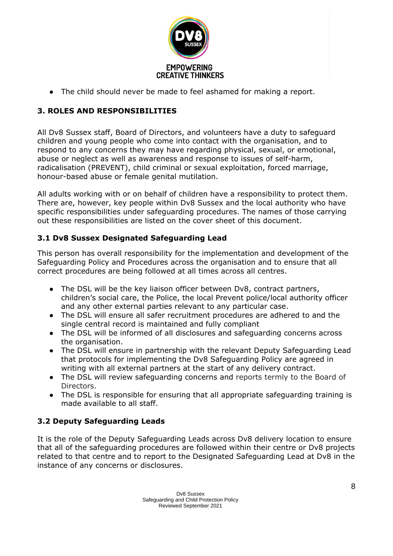

• The child should never be made to feel ashamed for making a report.

## **3. ROLES AND RESPONSIBILITIES**

All Dv8 Sussex staff, Board of Directors, and volunteers have a duty to safeguard children and young people who come into contact with the organisation, and to respond to any concerns they may have regarding physical, sexual, or emotional, abuse or neglect as well as awareness and response to issues of self-harm, radicalisation (PREVENT), child criminal or sexual exploitation, forced marriage, honour-based abuse or female genital mutilation.

All adults working with or on behalf of children have a responsibility to protect them. There are, however, key people within Dv8 Sussex and the local authority who have specific responsibilities under safeguarding procedures. The names of those carrying out these responsibilities are listed on the cover sheet of this document.

## **3.1 Dv8 Sussex Designated Safeguarding Lead**

This person has overall responsibility for the implementation and development of the Safeguarding Policy and Procedures across the organisation and to ensure that all correct procedures are being followed at all times across all centres.

- The DSL will be the key liaison officer between Dv8, contract partners, children's social care, the Police, the local Prevent police/local authority officer and any other external parties relevant to any particular case.
- The DSL will ensure all safer recruitment procedures are adhered to and the single central record is maintained and fully compliant
- The DSL will be informed of all disclosures and safeguarding concerns across the organisation.
- The DSL will ensure in partnership with the relevant Deputy Safeguarding Lead that protocols for implementing the Dv8 Safeguarding Policy are agreed in writing with all external partners at the start of any delivery contract.
- The DSL will review safeguarding concerns and reports termly to the Board of Directors.
- The DSL is responsible for ensuring that all appropriate safeguarding training is made available to all staff.

## **3.2 Deputy Safeguarding Leads**

It is the role of the Deputy Safeguarding Leads across Dv8 delivery location to ensure that all of the safeguarding procedures are followed within their centre or Dv8 projects related to that centre and to report to the Designated Safeguarding Lead at Dv8 in the instance of any concerns or disclosures.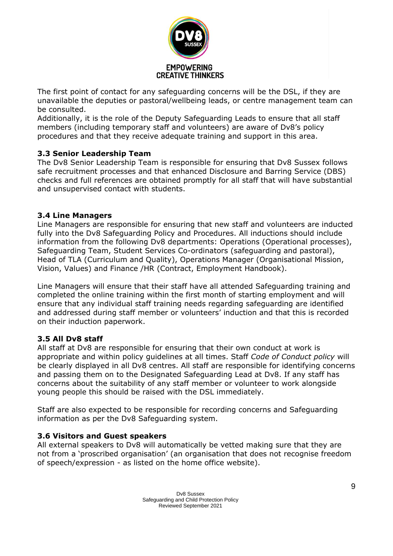

The first point of contact for any safeguarding concerns will be the DSL, if they are unavailable the deputies or pastoral/wellbeing leads, or centre management team can be consulted.

Additionally, it is the role of the Deputy Safeguarding Leads to ensure that all staff members (including temporary staff and volunteers) are aware of Dv8's policy procedures and that they receive adequate training and support in this area.

## **3.3 Senior Leadership Team**

The Dv8 Senior Leadership Team is responsible for ensuring that Dv8 Sussex follows safe recruitment processes and that enhanced Disclosure and Barring Service (DBS) checks and full references are obtained promptly for all staff that will have substantial and unsupervised contact with students.

## **3.4 Line Managers**

Line Managers are responsible for ensuring that new staff and volunteers are inducted fully into the Dv8 Safeguarding Policy and Procedures. All inductions should include information from the following Dv8 departments: Operations (Operational processes), Safeguarding Team, Student Services Co-ordinators (safeguarding and pastoral), Head of TLA (Curriculum and Quality), Operations Manager (Organisational Mission, Vision, Values) and Finance /HR (Contract, Employment Handbook).

Line Managers will ensure that their staff have all attended Safeguarding training and completed the online training within the first month of starting employment and will ensure that any individual staff training needs regarding safeguarding are identified and addressed during staff member or volunteers' induction and that this is recorded on their induction paperwork.

## **3.5 All Dv8 staff**

All staff at Dv8 are responsible for ensuring that their own conduct at work is appropriate and within policy guidelines at all times. Staff *Code of Conduct policy* will be clearly displayed in all Dv8 centres. All staff are responsible for identifying concerns and passing them on to the Designated Safeguarding Lead at Dv8. If any staff has concerns about the suitability of any staff member or volunteer to work alongside young people this should be raised with the DSL immediately.

Staff are also expected to be responsible for recording concerns and Safeguarding information as per the Dv8 Safeguarding system.

## **3.6 Visitors and Guest speakers**

All external speakers to Dv8 will automatically be vetted making sure that they are not from a 'proscribed organisation' (an organisation that does not recognise freedom of speech/expression - as listed on the home office website).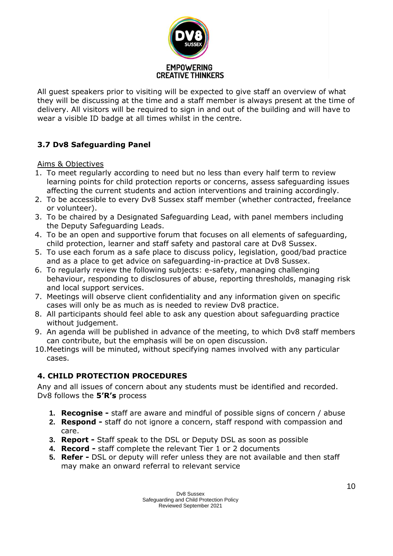

All guest speakers prior to visiting will be expected to give staff an overview of what they will be discussing at the time and a staff member is always present at the time of delivery. All visitors will be required to sign in and out of the building and will have to wear a visible ID badge at all times whilst in the centre.

## **3.7 Dv8 Safeguarding Panel**

Aims & Objectives

- 1. To meet regularly according to need but no less than every half term to review learning points for child protection reports or concerns, assess safeguarding issues affecting the current students and action interventions and training accordingly.
- 2. To be accessible to every Dv8 Sussex staff member (whether contracted, freelance or volunteer).
- 3. To be chaired by a Designated Safeguarding Lead, with panel members including the Deputy Safeguarding Leads.
- 4. To be an open and supportive forum that focuses on all elements of safeguarding, child protection, learner and staff safety and pastoral care at Dv8 Sussex.
- 5. To use each forum as a safe place to discuss policy, legislation, good/bad practice and as a place to get advice on safeguarding-in-practice at Dv8 Sussex.
- 6. To regularly review the following subjects: e-safety, managing challenging behaviour, responding to disclosures of abuse, reporting thresholds, managing risk and local support services.
- 7. Meetings will observe client confidentiality and any information given on specific cases will only be as much as is needed to review Dv8 practice.
- 8. All participants should feel able to ask any question about safeguarding practice without judgement.
- 9. An agenda will be published in advance of the meeting, to which Dv8 staff members can contribute, but the emphasis will be on open discussion.
- 10.Meetings will be minuted, without specifying names involved with any particular cases.

## **4. CHILD PROTECTION PROCEDURES**

Any and all issues of concern about any students must be identified and recorded. Dv8 follows the **5'R's** process

- **1. Recognise -** staff are aware and mindful of possible signs of concern / abuse
- **2. Respond -** staff do not ignore a concern, staff respond with compassion and care.
- **3. Report -** Staff speak to the DSL or Deputy DSL as soon as possible
- **4. Record -** staff complete the relevant Tier 1 or 2 documents
- **5. Refer -** DSL or deputy will refer unless they are not available and then staff may make an onward referral to relevant service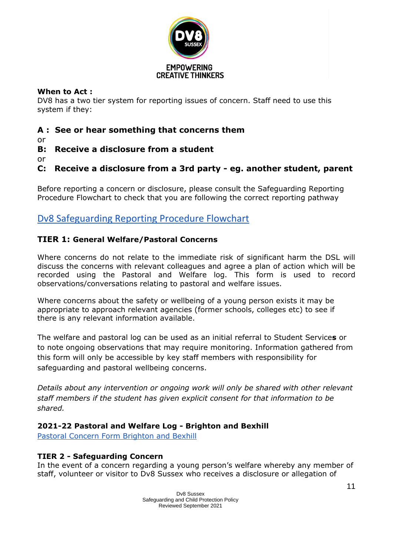

## **When to Act :**

DV8 has a two tier system for reporting issues of concern. Staff need to use this system if they:

## **A : See or hear something that concerns them**

or

**B: Receive a disclosure from a student**

or

**C: Receive a disclosure from a 3rd party - eg. another student, parent**

Before reporting a concern or disclosure, please consult the Safeguarding Reporting Procedure Flowchart to check that you are following the correct reporting pathway

## [Dv8 Safeguarding Reporting Procedure Flowchart](https://drive.google.com/file/d/1s37ZYrMaKVFzl3ajngTgpbwRL4Xta9L7/view)

## **TIER 1: General Welfare/Pastoral Concerns**

Where concerns do not relate to the immediate risk of significant harm the DSL will discuss the concerns with relevant colleagues and agree a plan of action which will be recorded using the Pastoral and Welfare log. This form is used to record observations/conversations relating to pastoral and welfare issues.

Where concerns about the safety or wellbeing of a young person exists it may be appropriate to approach relevant agencies (former schools, colleges etc) to see if there is any relevant information available.

The welfare and pastoral log can be used as an initial referral to Student Service**s** or to note ongoing observations that may require monitoring. Information gathered from this form will only be accessible by key staff members with responsibility for safeguarding and pastoral wellbeing concerns.

*Details about any intervention or ongoing work will only be shared with other relevant staff members if the student has given explicit consent for that information to be shared.*

## **2021-22 Pastoral and Welfare Log - Brighton and Bexhill**

**[Pastoral Concern Form Brighton and Bexhill](https://docs.google.com/forms/d/e/1FAIpQLScj_LhYR2TMizqLDJnz_BFCiAiB_fc4qImha3x2T9bbZq4_pg/viewform)** 

## **TIER 2 - Safeguarding Concern**

In the event of a concern regarding a young person's welfare whereby any member of staff, volunteer or visitor to Dv8 Sussex who receives a disclosure or allegation of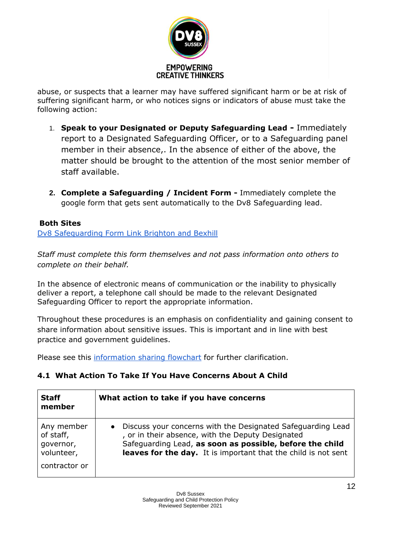

abuse, or suspects that a learner may have suffered significant harm or be at risk of suffering significant harm, or who notices signs or indicators of abuse must take the following action:

- 1. **Speak to your Designated or Deputy Safeguarding Lead -** Immediately report to a Designated Safeguarding Officer, or to a Safeguarding panel member in their absence,. In the absence of either of the above, the matter should be brought to the attention of the most senior member of staff available.
- **2. Complete a Safeguarding / Incident Form -** Immediately complete the google form that gets sent automatically to the Dv8 Safeguarding lead.

## **Both Sites**

[Dv8 Safeguarding Form Link Brighton and Bexhill](https://docs.google.com/forms/d/e/1FAIpQLSdP0jfbsu8ynXBUQjY_3a4ZuRyXJxTU5aPX5eJ8ofT2-1En8A/viewform)

*Staff must complete this form themselves and not pass information onto others to complete on their behalf.*

In the absence of electronic means of communication or the inability to physically deliver a report, a telephone call should be made to the relevant Designated Safeguarding Officer to report the appropriate information.

Throughout these procedures is an emphasis on confidentiality and gaining consent to share information about sensitive issues. This is important and in line with best practice and government guidelines.

Please see this [information sharing flowchart](https://drive.google.com/open?id=1wIrL3v5NeC7_w_oZqZcAbtSj5OaVjRdO) for further clarification.

## **4.1 What Action To Take If You Have Concerns About A Child**

| <b>Staff</b><br>member | What action to take if you have concerns                       |
|------------------------|----------------------------------------------------------------|
| Any member             | Discuss your concerns with the Designated Safeguarding Lead    |
| of staff,              | $\bullet$                                                      |
| governor,              | , or in their absence, with the Deputy Designated              |
| volunteer,             | Safequarding Lead, as soon as possible, before the child       |
| contractor or          | leaves for the day. It is important that the child is not sent |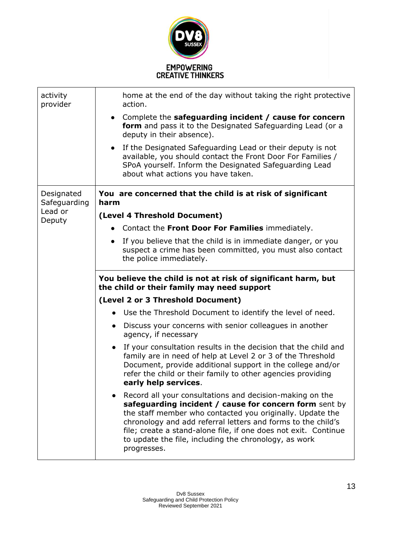

| activity<br>provider       | home at the end of the day without taking the right protective<br>action.                                                                                                                                                                                                                                                                                                                  |
|----------------------------|--------------------------------------------------------------------------------------------------------------------------------------------------------------------------------------------------------------------------------------------------------------------------------------------------------------------------------------------------------------------------------------------|
|                            | • Complete the safeguarding incident / cause for concern<br>form and pass it to the Designated Safeguarding Lead (or a<br>deputy in their absence).                                                                                                                                                                                                                                        |
|                            | If the Designated Safeguarding Lead or their deputy is not<br>$\bullet$<br>available, you should contact the Front Door For Families /<br>SPoA yourself. Inform the Designated Safeguarding Lead<br>about what actions you have taken.                                                                                                                                                     |
| Designated<br>Safeguarding | You are concerned that the child is at risk of significant<br>harm                                                                                                                                                                                                                                                                                                                         |
| Lead or<br>Deputy          | (Level 4 Threshold Document)                                                                                                                                                                                                                                                                                                                                                               |
|                            | Contact the Front Door For Families immediately.                                                                                                                                                                                                                                                                                                                                           |
|                            | If you believe that the child is in immediate danger, or you<br>$\bullet$<br>suspect a crime has been committed, you must also contact<br>the police immediately.                                                                                                                                                                                                                          |
|                            | You believe the child is not at risk of significant harm, but<br>the child or their family may need support                                                                                                                                                                                                                                                                                |
|                            | (Level 2 or 3 Threshold Document)                                                                                                                                                                                                                                                                                                                                                          |
|                            | • Use the Threshold Document to identify the level of need.                                                                                                                                                                                                                                                                                                                                |
|                            | Discuss your concerns with senior colleagues in another<br>$\bullet$<br>agency, if necessary                                                                                                                                                                                                                                                                                               |
|                            | If your consultation results in the decision that the child and<br>family are in need of help at Level 2 or 3 of the Threshold<br>Document, provide additional support in the college and/or<br>refer the child or their family to other agencies providing<br>early help services.                                                                                                        |
|                            | Record all your consultations and decision-making on the<br>safeguarding incident / cause for concern form sent by<br>the staff member who contacted you originally. Update the<br>chronology and add referral letters and forms to the child's<br>file; create a stand-alone file, if one does not exit. Continue<br>to update the file, including the chronology, as work<br>progresses. |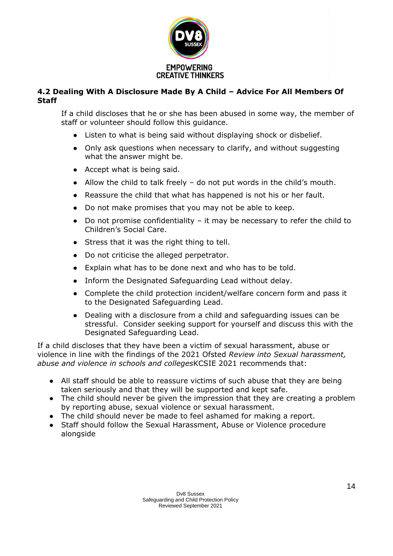

## **4.2 Dealing With A Disclosure Made By A Child – Advice For All Members Of Staff**

If a child discloses that he or she has been abused in some way, the member of staff or volunteer should follow this guidance.

- Listen to what is being said without displaying shock or disbelief.
- Only ask questions when necessary to clarify, and without suggesting what the answer might be.
- Accept what is being said.
- Allow the child to talk freely do not put words in the child's mouth.
- Reassure the child that what has happened is not his or her fault.
- Do not make promises that you may not be able to keep.
- $\bullet$  Do not promise confidentiality it may be necessary to refer the child to Children's Social Care.
- Stress that it was the right thing to tell.
- Do not criticise the alleged perpetrator.
- Explain what has to be done next and who has to be told.
- Inform the Designated Safeguarding Lead without delay.
- Complete the child protection incident/welfare concern form and pass it to the Designated Safeguarding Lead.
- Dealing with a disclosure from a child and safeguarding issues can be stressful. Consider seeking support for yourself and discuss this with the Designated Safeguarding Lead.

If a child discloses that they have been a victim of sexual harassment, abuse or violence in line with the findings of the 2021 Ofsted *Review into Sexual harassment, abuse and violence in schools and colleges*KCSIE 2021 recommends that:

- All staff should be able to reassure victims of such abuse that they are being taken seriously and that they will be supported and kept safe.
- The child should never be given the impression that they are creating a problem by reporting abuse, sexual violence or sexual harassment.
- The child should never be made to feel ashamed for making a report.
- Staff should follow the Sexual Harassment, Abuse or Violence procedure alongside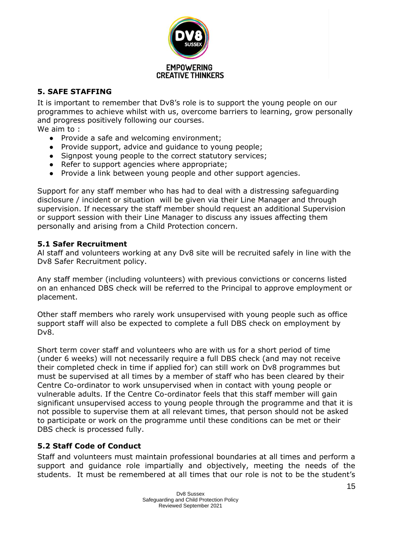

## **5. SAFE STAFFING**

It is important to remember that Dv8's role is to support the young people on our programmes to achieve whilst with us, overcome barriers to learning, grow personally and progress positively following our courses.

We aim to :

- Provide a safe and welcoming environment;
- Provide support, advice and guidance to young people;
- Signpost young people to the correct statutory services;
- Refer to support agencies where appropriate;
- Provide a link between young people and other support agencies.

Support for any staff member who has had to deal with a distressing safeguarding disclosure / incident or situation will be given via their Line Manager and through supervision. If necessary the staff member should request an additional Supervision or support session with their Line Manager to discuss any issues affecting them personally and arising from a Child Protection concern.

## **5.1 Safer Recruitment**

Al staff and volunteers working at any Dv8 site will be recruited safely in line with the Dv8 Safer Recruitment policy.

Any staff member (including volunteers) with previous convictions or concerns listed on an enhanced DBS check will be referred to the Principal to approve employment or placement.

Other staff members who rarely work unsupervised with young people such as office support staff will also be expected to complete a full DBS check on employment by Dv8.

Short term cover staff and volunteers who are with us for a short period of time (under 6 weeks) will not necessarily require a full DBS check (and may not receive their completed check in time if applied for) can still work on Dv8 programmes but must be supervised at all times by a member of staff who has been cleared by their Centre Co-ordinator to work unsupervised when in contact with young people or vulnerable adults. If the Centre Co-ordinator feels that this staff member will gain significant unsupervised access to young people through the programme and that it is not possible to supervise them at all relevant times, that person should not be asked to participate or work on the programme until these conditions can be met or their DBS check is processed fully.

## **5.2 Staff Code of Conduct**

Staff and volunteers must maintain professional boundaries at all times and perform a support and guidance role impartially and objectively, meeting the needs of the students. It must be remembered at all times that our role is not to be the student's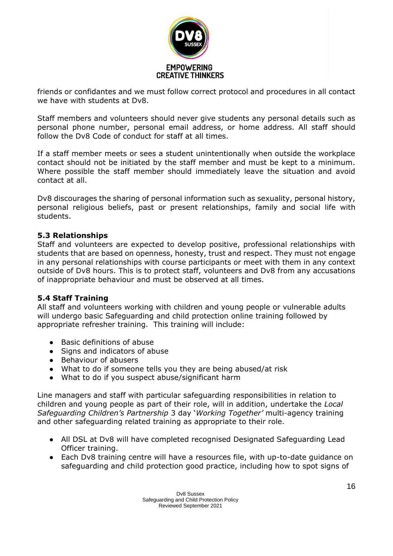

friends or confidantes and we must follow correct protocol and procedures in all contact we have with students at Dv8.

Staff members and volunteers should never give students any personal details such as personal phone number, personal email address, or home address. All staff should follow the Dv8 Code of conduct for staff at all times.

If a staff member meets or sees a student unintentionally when outside the workplace contact should not be initiated by the staff member and must be kept to a minimum. Where possible the staff member should immediately leave the situation and avoid contact at all.

Dv8 discourages the sharing of personal information such as sexuality, personal history, personal religious beliefs, past or present relationships, family and social life with students.

## **5.3 Relationships**

Staff and volunteers are expected to develop positive, professional relationships with students that are based on openness, honesty, trust and respect. They must not engage in any personal relationships with course participants or meet with them in any context outside of Dv8 hours. This is to protect staff, volunteers and Dv8 from any accusations of inappropriate behaviour and must be observed at all times.

## **5.4 Staff Training**

All staff and volunteers working with children and young people or vulnerable adults will undergo basic Safeguarding and child protection online training followed by appropriate refresher training. This training will include:

- Basic definitions of abuse
- Signs and indicators of abuse
- Behaviour of abusers
- What to do if someone tells you they are being abused/at risk
- What to do if you suspect abuse/significant harm

Line managers and staff with particular safeguarding responsibilities in relation to children and young people as part of their role, will in addition, undertake the *Local Safeguarding Children's Partnership* 3 day '*Working Together'* multi-agency training and other safeguarding related training as appropriate to their role.

- All DSL at Dv8 will have completed recognised Designated Safeguarding Lead Officer training.
- Each Dv8 training centre will have a resources file, with up-to-date guidance on safeguarding and child protection good practice, including how to spot signs of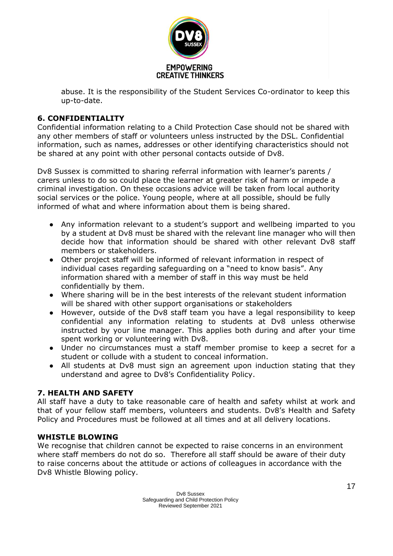

abuse. It is the responsibility of the Student Services Co-ordinator to keep this up-to-date.

## **6. CONFIDENTIALITY**

Confidential information relating to a Child Protection Case should not be shared with any other members of staff or volunteers unless instructed by the DSL. Confidential information, such as names, addresses or other identifying characteristics should not be shared at any point with other personal contacts outside of Dv8.

Dv8 Sussex is committed to sharing referral information with learner's parents / carers unless to do so could place the learner at greater risk of harm or impede a criminal investigation. On these occasions advice will be taken from local authority social services or the police. Young people, where at all possible, should be fully informed of what and where information about them is being shared.

- Any information relevant to a student's support and wellbeing imparted to you by a student at Dv8 must be shared with the relevant line manager who will then decide how that information should be shared with other relevant Dv8 staff members or stakeholders.
- Other project staff will be informed of relevant information in respect of individual cases regarding safeguarding on a "need to know basis". Any information shared with a member of staff in this way must be held confidentially by them.
- Where sharing will be in the best interests of the relevant student information will be shared with other support organisations or stakeholders
- However, outside of the Dv8 staff team you have a legal responsibility to keep confidential any information relating to students at Dv8 unless otherwise instructed by your line manager. This applies both during and after your time spent working or volunteering with Dv8.
- Under no circumstances must a staff member promise to keep a secret for a student or collude with a student to conceal information.
- All students at Dv8 must sign an agreement upon induction stating that they understand and agree to Dv8's Confidentiality Policy.

## **7. HEALTH AND SAFETY**

All staff have a duty to take reasonable care of health and safety whilst at work and that of your fellow staff members, volunteers and students. Dv8's Health and Safety Policy and Procedures must be followed at all times and at all delivery locations.

## **WHISTLE BLOWING**

We recognise that children cannot be expected to raise concerns in an environment where staff members do not do so. Therefore all staff should be aware of their duty to raise concerns about the attitude or actions of colleagues in accordance with the Dv8 Whistle Blowing policy.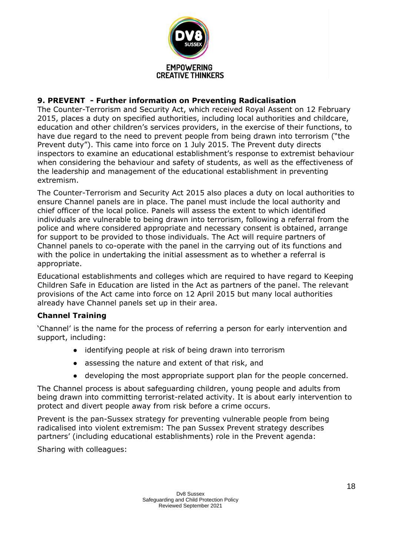

## **9. PREVENT - Further information on Preventing Radicalisation**

The Counter-Terrorism and Security Act, which received Royal Assent on 12 February 2015, places a duty on specified authorities, including local authorities and childcare, education and other children's services providers, in the exercise of their functions, to have due regard to the need to prevent people from being drawn into terrorism ("the Prevent duty"). This came into force on 1 July 2015. The Prevent duty directs inspectors to examine an educational establishment's response to extremist behaviour when considering the behaviour and safety of students, as well as the effectiveness of the leadership and management of the educational establishment in preventing extremism.

The Counter-Terrorism and Security Act 2015 also places a duty on local authorities to ensure Channel panels are in place. The panel must include the local authority and chief officer of the local police. Panels will assess the extent to which identified individuals are vulnerable to being drawn into terrorism, following a referral from the police and where considered appropriate and necessary consent is obtained, arrange for support to be provided to those individuals. The Act will require partners of Channel panels to co-operate with the panel in the carrying out of its functions and with the police in undertaking the initial assessment as to whether a referral is appropriate.

Educational establishments and colleges which are required to have regard to Keeping Children Safe in Education are listed in the Act as partners of the panel. The relevant provisions of the Act came into force on 12 April 2015 but many local authorities already have Channel panels set up in their area.

## **Channel Training**

'Channel' is the name for the process of referring a person for early intervention and support, including:

- identifying people at risk of being drawn into terrorism
- assessing the nature and extent of that risk, and
- developing the most appropriate support plan for the people concerned.

The Channel process is about safeguarding children, young people and adults from being drawn into committing terrorist-related activity. It is about early intervention to protect and divert people away from risk before a crime occurs.

Prevent is the pan-Sussex strategy for preventing vulnerable people from being radicalised into violent extremism: The pan Sussex Prevent strategy describes partners' (including educational establishments) role in the Prevent agenda:

Sharing with colleagues: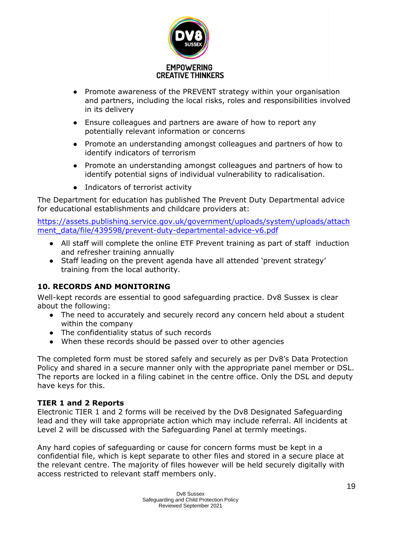

- Promote awareness of the PREVENT strategy within your organisation and partners, including the local risks, roles and responsibilities involved in its delivery
- Ensure colleagues and partners are aware of how to report any potentially relevant information or concerns
- Promote an understanding amongst colleagues and partners of how to identify indicators of terrorism
- Promote an understanding amongst colleagues and partners of how to identify potential signs of individual vulnerability to radicalisation.
- Indicators of terrorist activity

The Department for education has published The Prevent Duty Departmental advice for educational establishments and childcare providers at:

[https://assets.publishing.service.gov.uk/government/uploads/system/uploads/attach](https://assets.publishing.service.gov.uk/government/uploads/system/uploads/attachment_data/file/439598/prevent-duty-departmental-advice-v6.pdf) [ment\\_data/file/439598/prevent-duty-departmental-advice-v6.pdf](https://assets.publishing.service.gov.uk/government/uploads/system/uploads/attachment_data/file/439598/prevent-duty-departmental-advice-v6.pdf)

- All staff will complete the online ETF Prevent training as part of staff induction and refresher training annually
- Staff leading on the prevent agenda have all attended 'prevent strategy' training from the local authority.

## **10. RECORDS AND MONITORING**

Well-kept records are essential to good safeguarding practice. Dv8 Sussex is clear about the following:

- The need to accurately and securely record any concern held about a student within the company
- The confidentiality status of such records
- When these records should be passed over to other agencies

The completed form must be stored safely and securely as per Dv8's Data Protection Policy and shared in a secure manner only with the appropriate panel member or DSL. The reports are locked in a filing cabinet in the centre office. Only the DSL and deputy have keys for this.

## **TIER 1 and 2 Reports**

Electronic TIER 1 and 2 forms will be received by the Dv8 Designated Safeguarding lead and they will take appropriate action which may include referral. All incidents at Level 2 will be discussed with the Safeguarding Panel at termly meetings.

Any hard copies of safeguarding or cause for concern forms must be kept in a confidential file, which is kept separate to other files and stored in a secure place at the relevant centre. The majority of files however will be held securely digitally with access restricted to relevant staff members only.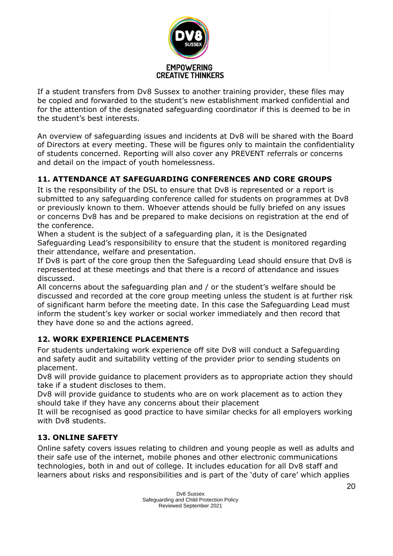

If a student transfers from Dv8 Sussex to another training provider, these files may be copied and forwarded to the student's new establishment marked confidential and for the attention of the designated safeguarding coordinator if this is deemed to be in the student's best interests.

An overview of safeguarding issues and incidents at Dv8 will be shared with the Board of Directors at every meeting. These will be figures only to maintain the confidentiality of students concerned. Reporting will also cover any PREVENT referrals or concerns and detail on the impact of youth homelessness.

## **11. ATTENDANCE AT SAFEGUARDING CONFERENCES AND CORE GROUPS**

It is the responsibility of the DSL to ensure that Dv8 is represented or a report is submitted to any safeguarding conference called for students on programmes at Dv8 or previously known to them. Whoever attends should be fully briefed on any issues or concerns Dv8 has and be prepared to make decisions on registration at the end of the conference.

When a student is the subject of a safeguarding plan, it is the Designated Safeguarding Lead's responsibility to ensure that the student is monitored regarding their attendance, welfare and presentation.

If Dv8 is part of the core group then the Safeguarding Lead should ensure that Dv8 is represented at these meetings and that there is a record of attendance and issues discussed.

All concerns about the safeguarding plan and / or the student's welfare should be discussed and recorded at the core group meeting unless the student is at further risk of significant harm before the meeting date. In this case the Safeguarding Lead must inform the student's key worker or social worker immediately and then record that they have done so and the actions agreed.

## **12. WORK EXPERIENCE PLACEMENTS**

For students undertaking work experience off site Dv8 will conduct a Safeguarding and safety audit and suitability vetting of the provider prior to sending students on placement.

Dv8 will provide guidance to placement providers as to appropriate action they should take if a student discloses to them.

Dv8 will provide guidance to students who are on work placement as to action they should take if they have any concerns about their placement

It will be recognised as good practice to have similar checks for all employers working with Dv8 students.

## **13. ONLINE SAFETY**

Online safety covers issues relating to children and young people as well as adults and their safe use of the internet, mobile phones and other electronic communications technologies, both in and out of college. It includes education for all Dv8 staff and learners about risks and responsibilities and is part of the 'duty of care' which applies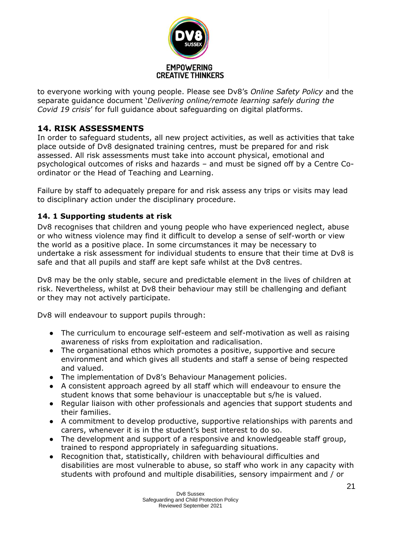

to everyone working with young people. Please see Dv8's *Online Safety Policy* and the separate guidance document '*Delivering online/remote learning safely during the Covid 19 crisis*' for full guidance about safeguarding on digital platforms.

## **14. RISK ASSESSMENTS**

In order to safeguard students, all new project activities, as well as activities that take place outside of Dv8 designated training centres, must be prepared for and risk assessed. All risk assessments must take into account physical, emotional and psychological outcomes of risks and hazards – and must be signed off by a Centre Coordinator or the Head of Teaching and Learning.

Failure by staff to adequately prepare for and risk assess any trips or visits may lead to disciplinary action under the disciplinary procedure.

## **14. 1 Supporting students at risk**

Dv8 recognises that children and young people who have experienced neglect, abuse or who witness violence may find it difficult to develop a sense of self-worth or view the world as a positive place. In some circumstances it may be necessary to undertake a risk assessment for individual students to ensure that their time at Dv8 is safe and that all pupils and staff are kept safe whilst at the Dv8 centres.

Dv8 may be the only stable, secure and predictable element in the lives of children at risk. Nevertheless, whilst at Dv8 their behaviour may still be challenging and defiant or they may not actively participate.

Dv8 will endeavour to support pupils through:

- The curriculum to encourage self-esteem and self-motivation as well as raising awareness of risks from exploitation and radicalisation.
- The organisational ethos which promotes a positive, supportive and secure environment and which gives all students and staff a sense of being respected and valued.
- The implementation of Dv8's Behaviour Management policies.
- A consistent approach agreed by all staff which will endeavour to ensure the student knows that some behaviour is unacceptable but s/he is valued.
- Regular liaison with other professionals and agencies that support students and their families.
- A commitment to develop productive, supportive relationships with parents and carers, whenever it is in the student's best interest to do so.
- The development and support of a responsive and knowledgeable staff group, trained to respond appropriately in safeguarding situations.
- Recognition that, statistically, children with behavioural difficulties and disabilities are most vulnerable to abuse, so staff who work in any capacity with students with profound and multiple disabilities, sensory impairment and / or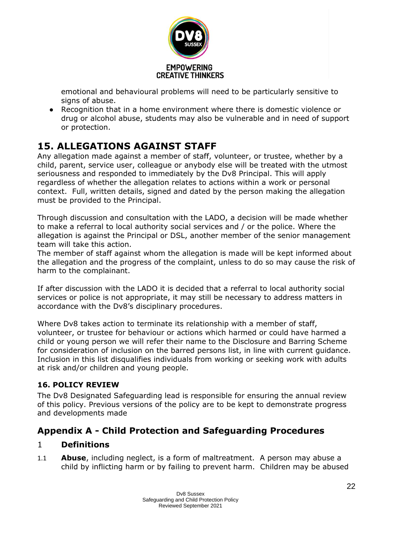

emotional and behavioural problems will need to be particularly sensitive to signs of abuse.

● Recognition that in a home environment where there is domestic violence or drug or alcohol abuse, students may also be vulnerable and in need of support or protection.

## **15. ALLEGATIONS AGAINST STAFF**

Any allegation made against a member of staff, volunteer, or trustee, whether by a child, parent, service user, colleague or anybody else will be treated with the utmost seriousness and responded to immediately by the Dv8 Principal. This will apply regardless of whether the allegation relates to actions within a work or personal context. Full, written details, signed and dated by the person making the allegation must be provided to the Principal.

Through discussion and consultation with the LADO, a decision will be made whether to make a referral to local authority social services and / or the police. Where the allegation is against the Principal or DSL, another member of the senior management team will take this action.

The member of staff against whom the allegation is made will be kept informed about the allegation and the progress of the complaint, unless to do so may cause the risk of harm to the complainant.

If after discussion with the LADO it is decided that a referral to local authority social services or police is not appropriate, it may still be necessary to address matters in accordance with the Dv8's disciplinary procedures.

Where Dv8 takes action to terminate its relationship with a member of staff, volunteer, or trustee for behaviour or actions which harmed or could have harmed a child or young person we will refer their name to the Disclosure and Barring Scheme for consideration of inclusion on the barred persons list, in line with current guidance. Inclusion in this list disqualifies individuals from working or seeking work with adults at risk and/or children and young people.

## **16. POLICY REVIEW**

The Dv8 Designated Safeguarding lead is responsible for ensuring the annual review of this policy. Previous versions of the policy are to be kept to demonstrate progress and developments made

## **Appendix A - Child Protection and Safeguarding Procedures**

## 1 **Definitions**

1.1 **Abuse**, including neglect, is a form of maltreatment. A person may abuse a child by inflicting harm or by failing to prevent harm. Children may be abused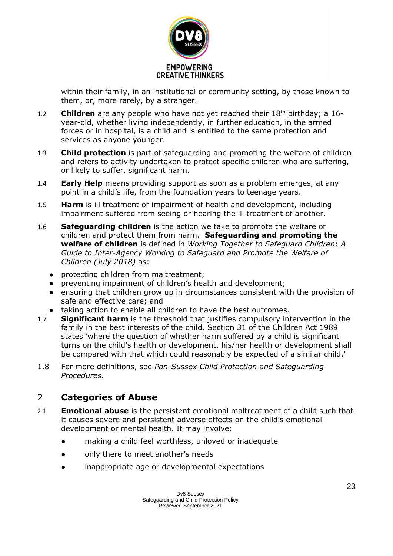

within their family, in an institutional or community setting, by those known to them, or, more rarely, by a stranger.

- 1.2 **Children** are any people who have not yet reached their 18th birthday; a 16 year-old, whether living independently, in further education, in the armed forces or in hospital, is a child and is entitled to the same protection and services as anyone younger.
- 1.3 **Child protection** is part of safeguarding and promoting the welfare of children and refers to activity undertaken to protect specific children who are suffering, or likely to suffer, significant harm.
- 1.4 **Early Help** means providing support as soon as a problem emerges, at any point in a child's life, from the foundation years to teenage years.
- 1.5 **Harm** is ill treatment or impairment of health and development, including impairment suffered from seeing or hearing the ill treatment of another.
- 1.6 **Safeguarding children** is the action we take to promote the welfare of children and protect them from harm. **Safeguarding and promoting the welfare of children** is defined in *Working Together to Safeguard Children*: *A Guide to Inter-Agency Working to Safeguard and Promote the Welfare of Children (July 2018)* as:
	- protecting children from maltreatment;
	- preventing impairment of children's health and development;
	- ensuring that children grow up in circumstances consistent with the provision of safe and effective care; and
	- taking action to enable all children to have the best outcomes.
- 1.7 **Significant harm** is the threshold that justifies compulsory intervention in the family in the best interests of the child. Section 31 of the Children Act 1989 states 'where the question of whether harm suffered by a child is significant turns on the child's health or development, his/her health or development shall be compared with that which could reasonably be expected of a similar child.'
- 1.8 For more definitions, see *Pan-Sussex Child Protection and Safeguarding Procedures*.

## 2 **Categories of Abuse**

- 2.1 **Emotional abuse** is the persistent emotional maltreatment of a child such that it causes severe and persistent adverse effects on the child's emotional development or mental health. It may involve:
	- making a child feel worthless, unloved or inadequate
	- only there to meet another's needs
	- inappropriate age or developmental expectations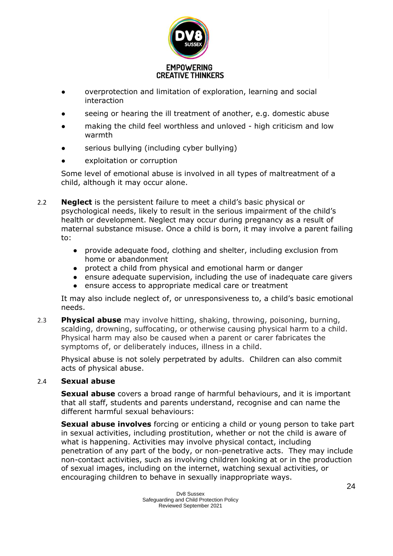

- overprotection and limitation of exploration, learning and social interaction
- seeing or hearing the ill treatment of another, e.g. domestic abuse
- making the child feel worthless and unloved high criticism and low warmth
- serious bullying (including cyber bullying)
- exploitation or corruption

Some level of emotional abuse is involved in all types of maltreatment of a child, although it may occur alone.

- 2.2 **Neglect** is the persistent failure to meet a child's basic physical or psychological needs, likely to result in the serious impairment of the child's health or development. Neglect may occur during pregnancy as a result of maternal substance misuse. Once a child is born, it may involve a parent failing to:
	- provide adequate food, clothing and shelter, including exclusion from home or abandonment
	- protect a child from physical and emotional harm or danger
	- ensure adequate supervision, including the use of inadequate care givers
	- ensure access to appropriate medical care or treatment

It may also include neglect of, or unresponsiveness to, a child's basic emotional needs.

2.3 **Physical abuse** may involve hitting, shaking, throwing, poisoning, burning, scalding, drowning, suffocating, or otherwise causing physical harm to a child. Physical harm may also be caused when a parent or carer fabricates the symptoms of, or deliberately induces, illness in a child.

Physical abuse is not solely perpetrated by adults. Children can also commit acts of physical abuse.

## 2.4 **Sexual abuse**

**Sexual abuse** covers a broad range of harmful behaviours, and it is important that all staff, students and parents understand, recognise and can name the different harmful sexual behaviours:

**Sexual abuse involves** forcing or enticing a child or young person to take part in sexual activities, including prostitution, whether or not the child is aware of what is happening. Activities may involve physical contact, including penetration of any part of the body, or non-penetrative acts. They may include non-contact activities, such as involving children looking at or in the production of sexual images, including on the internet, watching sexual activities, or encouraging children to behave in sexually inappropriate ways.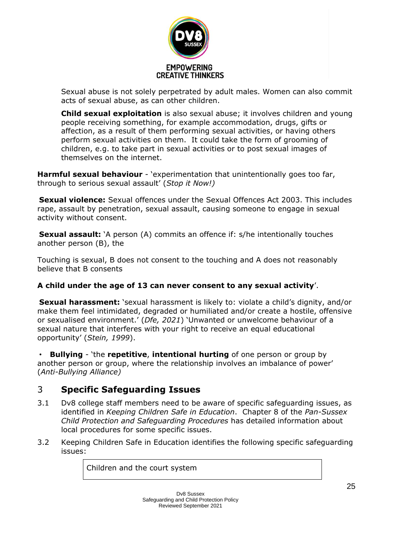

Sexual abuse is not solely perpetrated by adult males. Women can also commit acts of sexual abuse, as can other children.

**Child sexual exploitation** is also sexual abuse; it involves children and young people receiving something, for example accommodation, drugs, gifts or affection, as a result of them performing sexual activities, or having others perform sexual activities on them. It could take the form of grooming of children, e.g. to take part in sexual activities or to post sexual images of themselves on the internet.

**Harmful sexual behaviour** - 'experimentation that unintentionally goes too far, through to serious sexual assault' (*Stop it Now!)*

**Sexual violence:** Sexual offences under the Sexual Offences Act 2003. This includes rape, assault by penetration, sexual assault, causing someone to engage in sexual activity without consent.

**Sexual assault:** `A person (A) commits an offence if: s/he intentionally touches another person (B), the

Touching is sexual, B does not consent to the touching and A does not reasonably believe that B consents

## **A child under the age of 13 can never consent to any sexual activity**'.

**Sexual harassment:** 'sexual harassment is likely to: violate a child's dignity, and/or make them feel intimidated, degraded or humiliated and/or create a hostile, offensive or sexualised environment.' (*Dfe, 2021*) 'Unwanted or unwelcome behaviour of a sexual nature that interferes with your right to receive an equal educational opportunity' (*Stein, 1999*).

• **Bullying** - 'the **repetitive**, **intentional hurting** of one person or group by another person or group, where the relationship involves an imbalance of power' (*Anti-Bullying Alliance)*

## 3 **Specific Safeguarding Issues**

- 3.1 Dv8 college staff members need to be aware of specific safeguarding issues, as identified in *Keeping Children Safe in Education*. Chapter 8 of the *Pan-Sussex Child Protection and Safeguarding Procedures* has detailed information about local procedures for some specific issues.
- 3.2 Keeping Children Safe in Education identifies the following specific safeguarding issues:

Children and the court system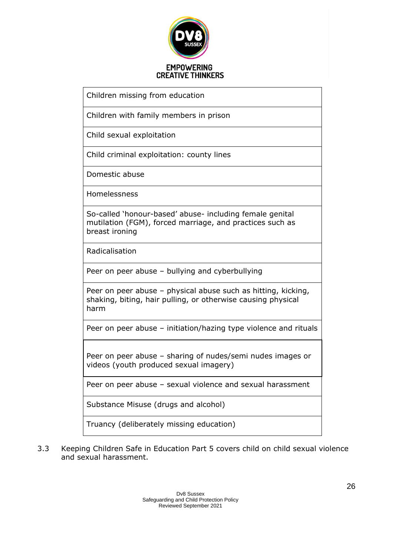

Children with family members in prison

Child sexual exploitation

Child criminal exploitation: county lines

Domestic abuse

Homelessness

So-called 'honour-based' abuse- including female genital mutilation (FGM), forced marriage, and practices such as breast ironing

Radicalisation

Peer on peer abuse – bullying and cyberbullying

Peer on peer abuse – physical abuse such as hitting, kicking, shaking, biting, hair pulling, or otherwise causing physical harm

Peer on peer abuse – initiation/hazing type violence and rituals

Peer on peer abuse – sharing of nudes/semi nudes images or videos (youth produced sexual imagery)

Peer on peer abuse – sexual violence and sexual harassment

Substance Misuse (drugs and alcohol)

Truancy (deliberately missing education)

3.3 Keeping Children Safe in Education Part 5 covers child on child sexual violence and sexual harassment.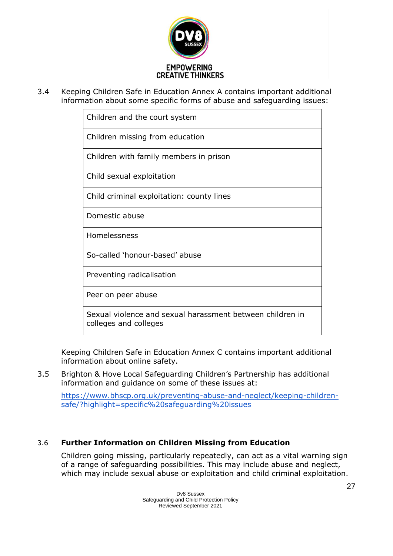

3.4 Keeping Children Safe in Education Annex A contains important additional information about some specific forms of abuse and safeguarding issues:

| Children and the court system                                                      |  |
|------------------------------------------------------------------------------------|--|
| Children missing from education                                                    |  |
| Children with family members in prison                                             |  |
| Child sexual exploitation                                                          |  |
| Child criminal exploitation: county lines                                          |  |
| Domestic abuse                                                                     |  |
| Homelessness                                                                       |  |
| So-called 'honour-based' abuse                                                     |  |
| Preventing radicalisation                                                          |  |
| Peer on peer abuse                                                                 |  |
| Sexual violence and sexual harassment between children in<br>colleges and colleges |  |

Keeping Children Safe in Education Annex C contains important additional information about online safety.

3.5 Brighton & Hove Local Safeguarding Children's Partnership has additional information and guidance on some of these issues at:

[https://www.bhscp.org.uk/preventing-abuse-and-neglect/keeping-children](https://www.bhscp.org.uk/preventing-abuse-and-neglect/keeping-children-safe/?highlight=specific%20safeguarding%20issues)[safe/?highlight=specific%20safeguarding%20issues](https://www.bhscp.org.uk/preventing-abuse-and-neglect/keeping-children-safe/?highlight=specific%20safeguarding%20issues)

## 3.6 **Further Information on Children Missing from Education**

Children going missing, particularly repeatedly, can act as a vital warning sign of a range of safeguarding possibilities. This may include abuse and neglect, which may include sexual abuse or exploitation and child criminal exploitation.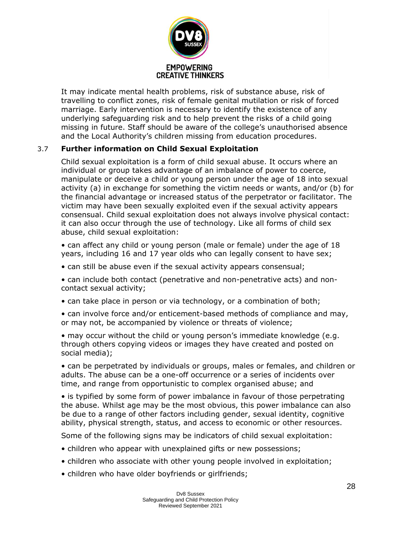

It may indicate mental health problems, risk of substance abuse, risk of travelling to conflict zones, risk of female genital mutilation or risk of forced marriage. Early intervention is necessary to identify the existence of any underlying safeguarding risk and to help prevent the risks of a child going missing in future. Staff should be aware of the college's unauthorised absence and the Local Authority's children missing from education procedures.

## 3.7 **Further information on Child Sexual Exploitation**

Child sexual exploitation is a form of child sexual abuse. It occurs where an individual or group takes advantage of an imbalance of power to coerce, manipulate or deceive a child or young person under the age of 18 into sexual activity (a) in exchange for something the victim needs or wants, and/or (b) for the financial advantage or increased status of the perpetrator or facilitator. The victim may have been sexually exploited even if the sexual activity appears consensual. Child sexual exploitation does not always involve physical contact: it can also occur through the use of technology. Like all forms of child sex abuse, child sexual exploitation:

• can affect any child or young person (male or female) under the age of 18 years, including 16 and 17 year olds who can legally consent to have sex;

• can still be abuse even if the sexual activity appears consensual;

• can include both contact (penetrative and non-penetrative acts) and noncontact sexual activity;

• can take place in person or via technology, or a combination of both;

• can involve force and/or enticement-based methods of compliance and may, or may not, be accompanied by violence or threats of violence;

• may occur without the child or young person's immediate knowledge (e.g. through others copying videos or images they have created and posted on social media);

• can be perpetrated by individuals or groups, males or females, and children or adults. The abuse can be a one-off occurrence or a series of incidents over time, and range from opportunistic to complex organised abuse; and

• is typified by some form of power imbalance in favour of those perpetrating the abuse. Whilst age may be the most obvious, this power imbalance can also be due to a range of other factors including gender, sexual identity, cognitive ability, physical strength, status, and access to economic or other resources.

Some of the following signs may be indicators of child sexual exploitation:

- children who appear with unexplained gifts or new possessions;
- children who associate with other young people involved in exploitation;
- children who have older boyfriends or girlfriends;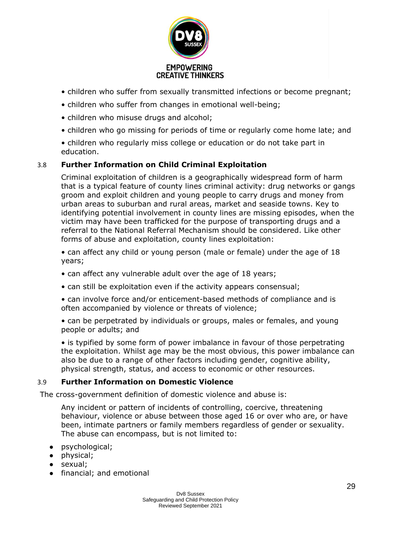

- children who suffer from sexually transmitted infections or become pregnant;
- children who suffer from changes in emotional well-being;
- children who misuse drugs and alcohol;
- children who go missing for periods of time or regularly come home late; and

• children who regularly miss college or education or do not take part in education.

#### 3.8 **Further Information on Child Criminal Exploitation**

Criminal exploitation of children is a geographically widespread form of harm that is a typical feature of county lines criminal activity: drug networks or gangs groom and exploit children and young people to carry drugs and money from urban areas to suburban and rural areas, market and seaside towns. Key to identifying potential involvement in county lines are missing episodes, when the victim may have been trafficked for the purpose of transporting drugs and a referral to the National Referral Mechanism should be considered. Like other forms of abuse and exploitation, county lines exploitation:

• can affect any child or young person (male or female) under the age of 18 years;

- can affect any vulnerable adult over the age of 18 years;
- can still be exploitation even if the activity appears consensual;

• can involve force and/or enticement-based methods of compliance and is often accompanied by violence or threats of violence;

• can be perpetrated by individuals or groups, males or females, and young people or adults; and

• is typified by some form of power imbalance in favour of those perpetrating the exploitation. Whilst age may be the most obvious, this power imbalance can also be due to a range of other factors including gender, cognitive ability, physical strength, status, and access to economic or other resources.

#### 3.9 **Further Information on Domestic Violence**

The cross-government definition of domestic violence and abuse is:

Any incident or pattern of incidents of controlling, coercive, threatening behaviour, violence or abuse between those aged 16 or over who are, or have been, intimate partners or family members regardless of gender or sexuality. The abuse can encompass, but is not limited to:

- psychological;
- physical;
- sexual;
- financial; and emotional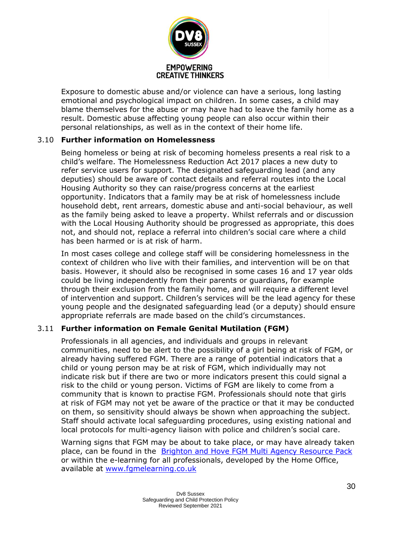

Exposure to domestic abuse and/or violence can have a serious, long lasting emotional and psychological impact on children. In some cases, a child may blame themselves for the abuse or may have had to leave the family home as a result. Domestic abuse affecting young people can also occur within their personal relationships, as well as in the context of their home life.

## 3.10 **Further information on Homelessness**

Being homeless or being at risk of becoming homeless presents a real risk to a child's welfare. The Homelessness Reduction Act 2017 places a new duty to refer service users for support. The designated safeguarding lead (and any deputies) should be aware of contact details and referral routes into the Local Housing Authority so they can raise/progress concerns at the earliest opportunity. Indicators that a family may be at risk of homelessness include household debt, rent arrears, domestic abuse and anti-social behaviour, as well as the family being asked to leave a property. Whilst referrals and or discussion with the Local Housing Authority should be progressed as appropriate, this does not, and should not, replace a referral into children's social care where a child has been harmed or is at risk of harm.

In most cases college and college staff will be considering homelessness in the context of children who live with their families, and intervention will be on that basis. However, it should also be recognised in some cases 16 and 17 year olds could be living independently from their parents or guardians, for example through their exclusion from the family home, and will require a different level of intervention and support. Children's services will be the lead agency for these young people and the designated safeguarding lead (or a deputy) should ensure appropriate referrals are made based on the child's circumstances.

## 3.11 **Further information on Female Genital Mutilation (FGM)**

Professionals in all agencies, and individuals and groups in relevant communities, need to be alert to the possibility of a girl being at risk of FGM, or already having suffered FGM. There are a range of potential indicators that a child or young person may be at risk of FGM, which individually may not indicate risk but if there are two or more indicators present this could signal a risk to the child or young person. Victims of FGM are likely to come from a community that is known to practise FGM. Professionals should note that girls at risk of FGM may not yet be aware of the practice or that it may be conducted on them, so sensitivity should always be shown when approaching the subject. Staff should activate local safeguarding procedures, using existing national and local protocols for multi-agency liaison with police and children's social care.

Warning signs that FGM may be about to take place, or may have already taken place, can be found in the [Brighton and Hove FGM Multi Agency Resource Pack](http://brightonandhovelscb.org.uk/wp-content/uploads/LSCB-VAWG-FGM-Resource-Pack-FINAL.pdf) or within the e-learning for all professionals, developed by the Home Office, available at [www.fgmelearning.co.uk](http://www.fgmelearning.co.uk/)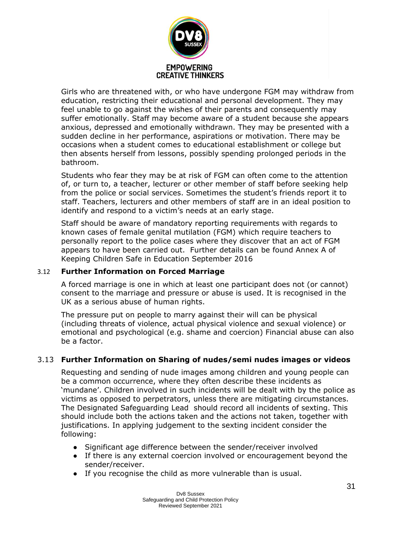

Girls who are threatened with, or who have undergone FGM may withdraw from education, restricting their educational and personal development. They may feel unable to go against the wishes of their parents and consequently may suffer emotionally. Staff may become aware of a student because she appears anxious, depressed and emotionally withdrawn. They may be presented with a sudden decline in her performance, aspirations or motivation. There may be occasions when a student comes to educational establishment or college but then absents herself from lessons, possibly spending prolonged periods in the bathroom.

Students who fear they may be at risk of FGM can often come to the attention of, or turn to, a teacher, lecturer or other member of staff before seeking help from the police or social services. Sometimes the student's friends report it to staff. Teachers, lecturers and other members of staff are in an ideal position to identify and respond to a victim's needs at an early stage.

Staff should be aware of mandatory reporting requirements with regards to known cases of female genital mutilation (FGM) which require teachers to personally report to the police cases where they discover that an act of FGM appears to have been carried out. Further details can be found Annex A of Keeping Children Safe in Education September 2016

## 3.12 **Further Information on Forced Marriage**

A forced marriage is one in which at least one participant does not (or cannot) consent to the marriage and pressure or abuse is used. It is recognised in the UK as a serious abuse of human rights.

The pressure put on people to marry against their will can be physical (including threats of violence, actual physical violence and sexual violence) or emotional and psychological (e.g. shame and coercion) Financial abuse can also be a factor.

## 3.13 **Further Information on Sharing of nudes/semi nudes images or videos**

Requesting and sending of nude images among children and young people can be a common occurrence, where they often describe these incidents as 'mundane'. Children involved in such incidents will be dealt with by the police as victims as opposed to perpetrators, unless there are mitigating circumstances. The Designated Safeguarding Lead should record all incidents of sexting. This should include both the actions taken and the actions not taken, together with justifications. In applying judgement to the sexting incident consider the following:

- Significant age difference between the sender/receiver involved
- If there is any external coercion involved or encouragement beyond the sender/receiver.
- If you recognise the child as more vulnerable than is usual.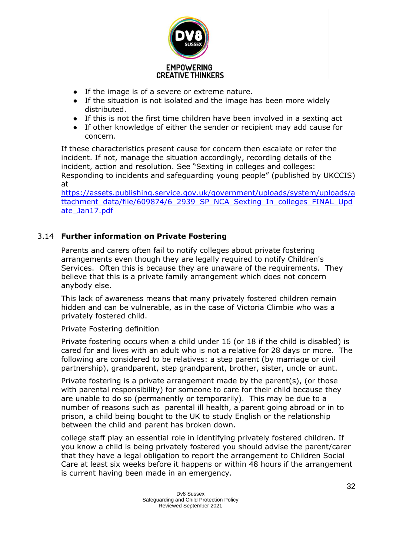

- If the image is of a severe or extreme nature.
- If the situation is not isolated and the image has been more widely distributed.
- If this is not the first time children have been involved in a sexting act
- If other knowledge of either the sender or recipient may add cause for concern.

If these characteristics present cause for concern then escalate or refer the incident. If not, manage the situation accordingly, recording details of the incident, action and resolution. See "Sexting in colleges and colleges: Responding to incidents and safeguarding young people" (published by UKCCIS) at

[https://assets.publishing.service.gov.uk/government/uploads/system/uploads/a](https://assets.publishing.service.gov.uk/government/uploads/system/uploads/attachment_data/file/609874/6_2939_SP_NCA_Sexting_In_Schools_FINAL_Update_Jan17.pdf) [ttachment\\_data/file/609874/6\\_2939\\_SP\\_NCA\\_Sexting\\_In\\_colleges\\_FINAL\\_Upd](https://assets.publishing.service.gov.uk/government/uploads/system/uploads/attachment_data/file/609874/6_2939_SP_NCA_Sexting_In_Schools_FINAL_Update_Jan17.pdf) [ate\\_Jan17.pdf](https://assets.publishing.service.gov.uk/government/uploads/system/uploads/attachment_data/file/609874/6_2939_SP_NCA_Sexting_In_Schools_FINAL_Update_Jan17.pdf)

## 3.14 **Further information on Private Fostering**

Parents and carers often fail to notify colleges about private fostering arrangements even though they are legally required to notify Children's Services. Often this is because they are unaware of the requirements. They believe that this is a private family arrangement which does not concern anybody else.

This lack of awareness means that many privately fostered children remain hidden and can be vulnerable, as in the case of Victoria Climbie who was a privately fostered child.

#### Private Fostering definition

Private fostering occurs when a child under 16 (or 18 if the child is disabled) is cared for and lives with an adult who is not a relative for 28 days or more. The following are considered to be relatives: a step parent (by marriage or civil partnership), grandparent, step grandparent, brother, sister, uncle or aunt.

Private fostering is a private arrangement made by the parent(s), (or those with parental responsibility) for someone to care for their child because they are unable to do so (permanently or temporarily). This may be due to a number of reasons such as parental ill health, a parent going abroad or in to prison, a child being bought to the UK to study English or the relationship between the child and parent has broken down.

college staff play an essential role in identifying privately fostered children. If you know a child is being privately fostered you should advise the parent/carer that they have a legal obligation to report the arrangement to Children Social Care at least six weeks before it happens or within 48 hours if the arrangement is current having been made in an emergency.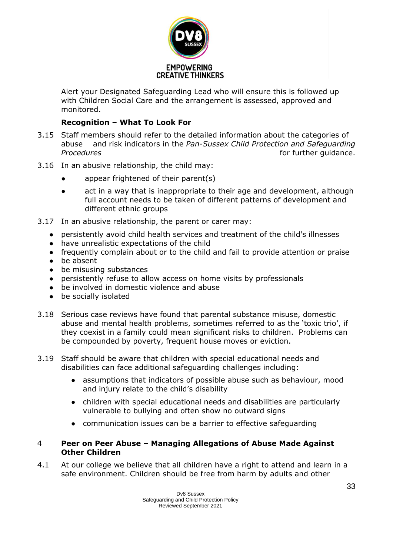

Alert your Designated Safeguarding Lead who will ensure this is followed up with Children Social Care and the arrangement is assessed, approved and monitored.

## **Recognition – What To Look For**

- 3.15 Staff members should refer to the detailed information about the categories of abuse and risk indicators in the *Pan-Sussex Child Protection and Safeguarding*  **Procedures** *Procedures Procedures Procedures Procedures Procedures*
- 3.16 In an abusive relationship, the child may:
	- appear frightened of their parent(s)
	- act in a way that is inappropriate to their age and development, although full account needs to be taken of different patterns of development and different ethnic groups
- 3.17 In an abusive relationship, the parent or carer may:
	- persistently avoid child health services and treatment of the child's illnesses
	- have unrealistic expectations of the child
	- frequently complain about or to the child and fail to provide attention or praise
	- be absent
	- be misusing substances
	- persistently refuse to allow access on home visits by professionals
	- be involved in domestic violence and abuse
	- be socially isolated
- 3.18 Serious case reviews have found that parental substance misuse, domestic abuse and mental health problems, sometimes referred to as the 'toxic trio', if they coexist in a family could mean significant risks to children. Problems can be compounded by poverty, frequent house moves or eviction.
- 3.19 Staff should be aware that children with special educational needs and disabilities can face additional safeguarding challenges including:
	- assumptions that indicators of possible abuse such as behaviour, mood and injury relate to the child's disability
	- children with special educational needs and disabilities are particularly vulnerable to bullying and often show no outward signs
	- communication issues can be a barrier to effective safeguarding

#### 4 **Peer on Peer Abuse – Managing Allegations of Abuse Made Against Other Children**

4.1 At our college we believe that all children have a right to attend and learn in a safe environment. Children should be free from harm by adults and other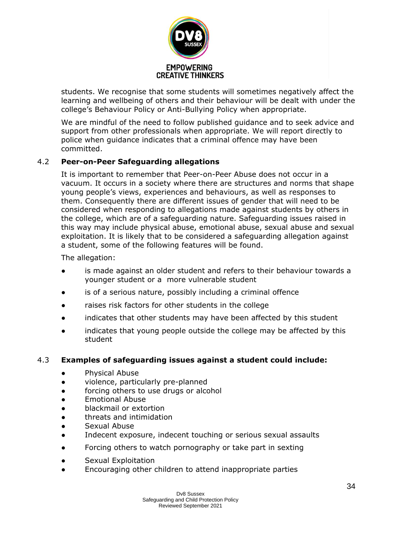

students. We recognise that some students will sometimes negatively affect the learning and wellbeing of others and their behaviour will be dealt with under the college's Behaviour Policy or Anti-Bullying Policy when appropriate.

We are mindful of the need to follow published guidance and to seek advice and support from other professionals when appropriate. We will report directly to police when guidance indicates that a criminal offence may have been committed.

## 4.2 **Peer-on-Peer Safeguarding allegations**

It is important to remember that Peer-on-Peer Abuse does not occur in a vacuum. It occurs in a society where there are structures and norms that shape young people's views, experiences and behaviours, as well as responses to them. Consequently there are different issues of gender that will need to be considered when responding to allegations made against students by others in the college, which are of a safeguarding nature. Safeguarding issues raised in this way may include physical abuse, emotional abuse, sexual abuse and sexual exploitation. It is likely that to be considered a safeguarding allegation against a student, some of the following features will be found.

The allegation:

- is made against an older student and refers to their behaviour towards a younger student or a more vulnerable student
- is of a serious nature, possibly including a criminal offence
- raises risk factors for other students in the college
- indicates that other students may have been affected by this student
- indicates that young people outside the college may be affected by this student

## 4.3 **Examples of safeguarding issues against a student could include:**

- Physical Abuse
- violence, particularly pre-planned
- forcing others to use drugs or alcohol
- Emotional Abuse
- blackmail or extortion
- threats and intimidation
- Sexual Abuse
- Indecent exposure, indecent touching or serious sexual assaults
- Forcing others to watch pornography or take part in sexting
- Sexual Exploitation
- Encouraging other children to attend inappropriate parties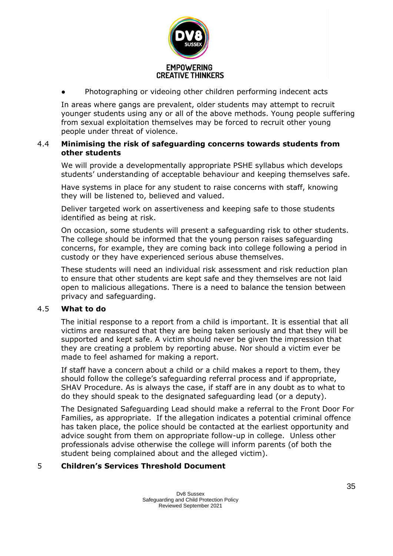

Photographing or videoing other children performing indecent acts

In areas where gangs are prevalent, older students may attempt to recruit younger students using any or all of the above methods. Young people suffering from sexual exploitation themselves may be forced to recruit other young people under threat of violence.

#### 4.4 **Minimising the risk of safeguarding concerns towards students from other students**

We will provide a developmentally appropriate PSHE syllabus which develops students' understanding of acceptable behaviour and keeping themselves safe.

Have systems in place for any student to raise concerns with staff, knowing they will be listened to, believed and valued.

Deliver targeted work on assertiveness and keeping safe to those students identified as being at risk.

On occasion, some students will present a safeguarding risk to other students. The college should be informed that the young person raises safeguarding concerns, for example, they are coming back into college following a period in custody or they have experienced serious abuse themselves.

These students will need an individual risk assessment and risk reduction plan to ensure that other students are kept safe and they themselves are not laid open to malicious allegations. There is a need to balance the tension between privacy and safeguarding.

#### 4.5 **What to do**

The initial response to a report from a child is important. It is essential that all victims are reassured that they are being taken seriously and that they will be supported and kept safe. A victim should never be given the impression that they are creating a problem by reporting abuse. Nor should a victim ever be made to feel ashamed for making a report.

If staff have a concern about a child or a child makes a report to them, they should follow the college's safeguarding referral process and if appropriate, SHAV Procedure. As is always the case, if staff are in any doubt as to what to do they should speak to the designated safeguarding lead (or a deputy).

The Designated Safeguarding Lead should make a referral to the Front Door For Families, as appropriate. If the allegation indicates a potential criminal offence has taken place, the police should be contacted at the earliest opportunity and advice sought from them on appropriate follow-up in college. Unless other professionals advise otherwise the college will inform parents (of both the student being complained about and the alleged victim).

#### 5 **Children's Services Threshold Document**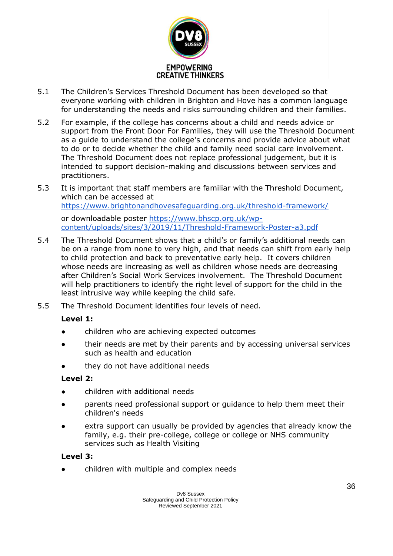

- 5.1 The Children's Services Threshold Document has been developed so that everyone working with children in Brighton and Hove has a common language for understanding the needs and risks surrounding children and their families.
- 5.2 For example, if the college has concerns about a child and needs advice or support from the Front Door For Families, they will use the Threshold Document as a guide to understand the college's concerns and provide advice about what to do or to decide whether the child and family need social care involvement. The Threshold Document does not replace professional judgement, but it is intended to support decision-making and discussions between services and practitioners.
- 5.3 It is important that staff members are familiar with the Threshold Document, which can be accessed at <https://www.brightonandhovesafeguarding.org.uk/threshold-framework/>

or downloadable poster [https://www.bhscp.org.uk/wp](https://www.bhscp.org.uk/wp-content/uploads/sites/3/2019/11/Threshold-Framework-Poster-a3.pdf)[content/uploads/sites/3/2019/11/Threshold-Framework-Poster-a3.pdf](https://www.bhscp.org.uk/wp-content/uploads/sites/3/2019/11/Threshold-Framework-Poster-a3.pdf)

- 5.4 The Threshold Document shows that a child's or family's additional needs can be on a range from none to very high, and that needs can shift from early help to child protection and back to preventative early help. It covers children whose needs are increasing as well as children whose needs are decreasing after Children's Social Work Services involvement. The Threshold Document will help practitioners to identify the right level of support for the child in the least intrusive way while keeping the child safe.
- 5.5 The Threshold Document identifies four levels of need.

## **Level 1:**

- children who are achieving expected outcomes
- their needs are met by their parents and by accessing universal services such as health and education
- they do not have additional needs

## **Level 2:**

- children with additional needs
- parents need professional support or guidance to help them meet their children's needs
- extra support can usually be provided by agencies that already know the family, e.g. their pre-college, college or college or NHS community services such as Health Visiting

## **Level 3:**

children with multiple and complex needs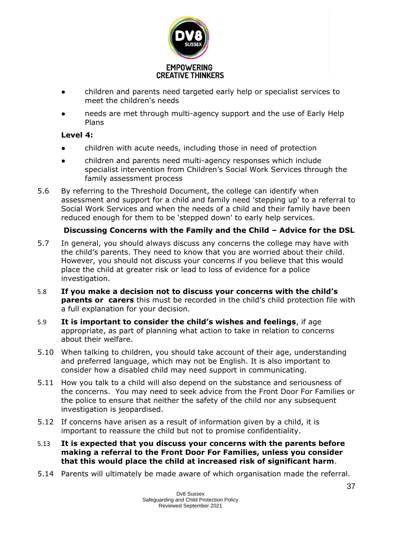

- children and parents need targeted early help or specialist services to meet the children's needs
- needs are met through multi-agency support and the use of Early Help Plans

## **Level 4:**

- children with acute needs, including those in need of protection
- children and parents need multi-agency responses which include specialist intervention from Children's Social Work Services through the family assessment process
- 5.6 By referring to the Threshold Document, the college can identify when assessment and support for a child and family need 'stepping up' to a referral to Social Work Services and when the needs of a child and their family have been reduced enough for them to be 'stepped down' to early help services.

## **Discussing Concerns with the Family and the Child – Advice for the DSL**

- 5.7 In general, you should always discuss any concerns the college may have with the child's parents. They need to know that you are worried about their child. However, you should not discuss your concerns if you believe that this would place the child at greater risk or lead to loss of evidence for a police investigation.
- 5.8 **If you make a decision not to discuss your concerns with the child's parents or carers** this must be recorded in the child's child protection file with a full explanation for your decision.
- 5.9 **It is important to consider the child's wishes and feelings**, if age appropriate, as part of planning what action to take in relation to concerns about their welfare.
- 5.10 When talking to children, you should take account of their age, understanding and preferred language, which may not be English. It is also important to consider how a disabled child may need support in communicating.
- 5.11 How you talk to a child will also depend on the substance and seriousness of the concerns. You may need to seek advice from the Front Door For Families or the police to ensure that neither the safety of the child nor any subsequent investigation is jeopardised.
- 5.12 If concerns have arisen as a result of information given by a child, it is important to reassure the child but not to promise confidentiality.
- 5.13 **It is expected that you discuss your concerns with the parents before making a referral to the Front Door For Families, unless you consider that this would place the child at increased risk of significant harm**.
- 5.14 Parents will ultimately be made aware of which organisation made the referral.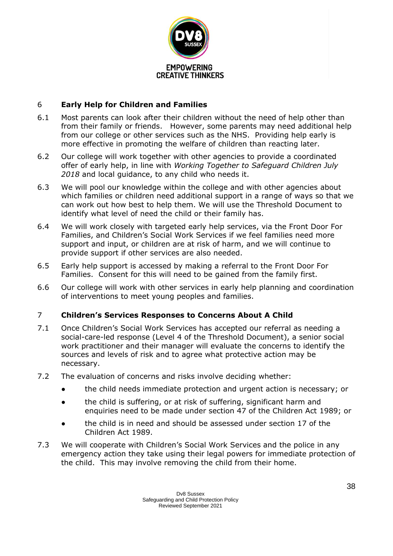

## 6 **Early Help for Children and Families**

- 6.1 Most parents can look after their children without the need of help other than from their family or friends. However, some parents may need additional help from our college or other services such as the NHS. Providing help early is more effective in promoting the welfare of children than reacting later.
- 6.2 Our college will work together with other agencies to provide a coordinated offer of early help, in line with *Working Together to Safeguard Children July 2018* and local guidance, to any child who needs it.
- 6.3 We will pool our knowledge within the college and with other agencies about which families or children need additional support in a range of ways so that we can work out how best to help them. We will use the Threshold Document to identify what level of need the child or their family has.
- 6.4 We will work closely with targeted early help services, via the Front Door For Families, and Children's Social Work Services if we feel families need more support and input, or children are at risk of harm, and we will continue to provide support if other services are also needed.
- 6.5 Early help support is accessed by making a referral to the Front Door For Families. Consent for this will need to be gained from the family first.
- 6.6 Our college will work with other services in early help planning and coordination of interventions to meet young peoples and families.

## 7 **Children's Services Responses to Concerns About A Child**

- 7.1 Once Children's Social Work Services has accepted our referral as needing a social-care-led response (Level 4 of the Threshold Document), a senior social work practitioner and their manager will evaluate the concerns to identify the sources and levels of risk and to agree what protective action may be necessary.
- 7.2 The evaluation of concerns and risks involve deciding whether:
	- the child needs immediate protection and urgent action is necessary; or
	- the child is suffering, or at risk of suffering, significant harm and enquiries need to be made under section 47 of the Children Act 1989; or
	- the child is in need and should be assessed under section 17 of the Children Act 1989.
- 7.3 We will cooperate with Children's Social Work Services and the police in any emergency action they take using their legal powers for immediate protection of the child. This may involve removing the child from their home.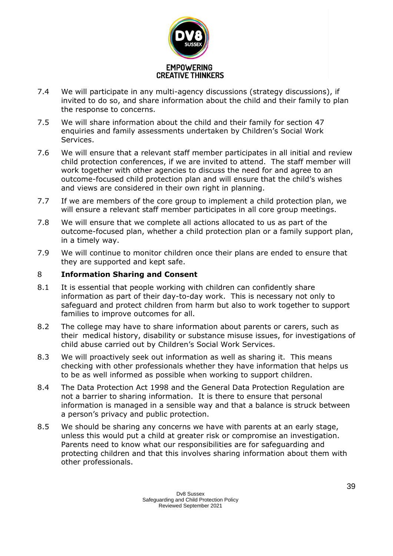

- 7.4 We will participate in any multi-agency discussions (strategy discussions), if invited to do so, and share information about the child and their family to plan the response to concerns.
- 7.5 We will share information about the child and their family for section 47 enquiries and family assessments undertaken by Children's Social Work Services.
- 7.6 We will ensure that a relevant staff member participates in all initial and review child protection conferences, if we are invited to attend. The staff member will work together with other agencies to discuss the need for and agree to an outcome-focused child protection plan and will ensure that the child's wishes and views are considered in their own right in planning.
- 7.7 If we are members of the core group to implement a child protection plan, we will ensure a relevant staff member participates in all core group meetings.
- 7.8 We will ensure that we complete all actions allocated to us as part of the outcome-focused plan, whether a child protection plan or a family support plan, in a timely way.
- 7.9 We will continue to monitor children once their plans are ended to ensure that they are supported and kept safe.

#### 8 **Information Sharing and Consent**

- 8.1 It is essential that people working with children can confidently share information as part of their day-to-day work. This is necessary not only to safeguard and protect children from harm but also to work together to support families to improve outcomes for all.
- 8.2 The college may have to share information about parents or carers, such as their medical history, disability or substance misuse issues, for investigations of child abuse carried out by Children's Social Work Services.
- 8.3 We will proactively seek out information as well as sharing it. This means checking with other professionals whether they have information that helps us to be as well informed as possible when working to support children.
- 8.4 The Data Protection Act 1998 and the General Data Protection Regulation are not a barrier to sharing information. It is there to ensure that personal information is managed in a sensible way and that a balance is struck between a person's privacy and public protection.
- 8.5 We should be sharing any concerns we have with parents at an early stage, unless this would put a child at greater risk or compromise an investigation. Parents need to know what our responsibilities are for safeguarding and protecting children and that this involves sharing information about them with other professionals.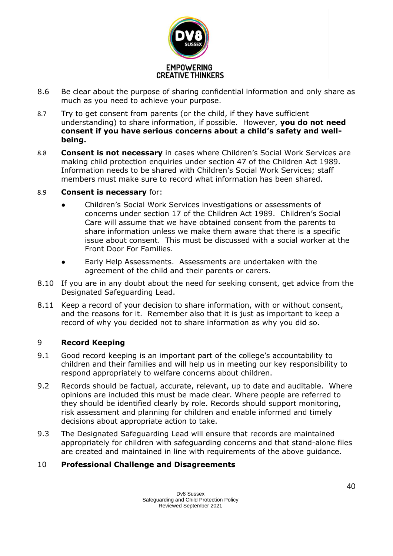

- 8.6 Be clear about the purpose of sharing confidential information and only share as much as you need to achieve your purpose.
- 8.7 Try to get consent from parents (or the child, if they have sufficient understanding) to share information, if possible. However, **you do not need consent if you have serious concerns about a child's safety and wellbeing.**
- 8.8 **Consent is not necessary** in cases where Children's Social Work Services are making child protection enquiries under section 47 of the Children Act 1989. Information needs to be shared with Children's Social Work Services; staff members must make sure to record what information has been shared.
- 8.9 **Consent is necessary** for:
	- Children's Social Work Services investigations or assessments of concerns under section 17 of the Children Act 1989. Children's Social Care will assume that we have obtained consent from the parents to share information unless we make them aware that there is a specific issue about consent. This must be discussed with a social worker at the Front Door For Families.
	- Early Help Assessments. Assessments are undertaken with the agreement of the child and their parents or carers.
- 8.10 If you are in any doubt about the need for seeking consent, get advice from the Designated Safeguarding Lead.
- 8.11 Keep a record of your decision to share information, with or without consent, and the reasons for it. Remember also that it is just as important to keep a record of why you decided not to share information as why you did so.

## 9 **Record Keeping**

- 9.1 Good record keeping is an important part of the college's accountability to children and their families and will help us in meeting our key responsibility to respond appropriately to welfare concerns about children.
- 9.2 Records should be factual, accurate, relevant, up to date and auditable. Where opinions are included this must be made clear. Where people are referred to they should be identified clearly by role. Records should support monitoring, risk assessment and planning for children and enable informed and timely decisions about appropriate action to take.
- 9.3 The Designated Safeguarding Lead will ensure that records are maintained appropriately for children with safeguarding concerns and that stand-alone files are created and maintained in line with requirements of the above guidance.

## 10 **Professional Challenge and Disagreements**